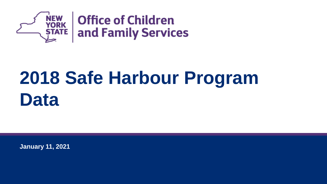

# **2018 Safe Harbour Program Data**

**January 11, 2021**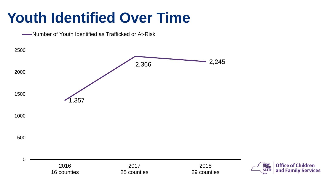## **Youth Identified Over Time**

**WALK** -- Number of Youth Identified as Trafficked or At-Risk

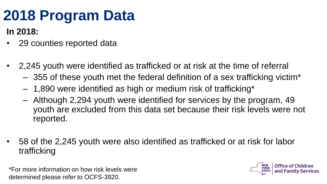## **2018 Program Data**

#### **In 2018:**

- 29 counties reported data
- 2,245 youth were identified as trafficked or at risk at the time of referral
	- 355 of these youth met the federal definition of a sex trafficking victim\*
	- 1,890 were identified as high or medium risk of trafficking\*
	- Although 2,294 youth were identified for services by the program, 49 youth are excluded from this data set because their risk levels were not reported.
- 58 of the 2,245 youth were also identified as trafficked or at risk for labor trafficking

\*For more information on how risk levels were determined please refer to OCFS-3920.

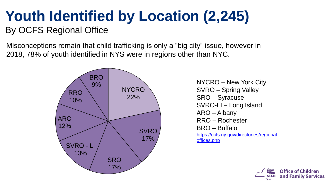#### **Youth Identified by Location (2,245)** By OCFS Regional Office

Misconceptions remain that child trafficking is only a "big city" issue, however in 2018, 78% of youth identified in NYS were in regions other than NYC.



SVRO – Spring Valley SRO – Syracuse SVRO-LI – Long Island ARO – Albany RRO – Rochester BRO – Buffalo [https://ocfs.ny.gov/directories/regional](https://ocfs.ny.gov/directories/regional-offices.php)offices.php

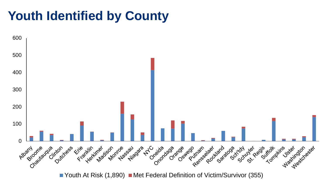#### **Youth Identified by County**



Youth At Risk  $(1,890)$  Met Federal Definition of Victim/Survivor (355)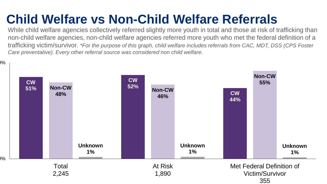### **Child Welfare vs Non-Child Welfare Referrals**

While child welfare agencies collectively referred slightly more youth in total and those at risk of trafficking than non-child welfare agencies, non-child welfare agencies referred more youth who met the federal definition of a trafficking victim/survivor. *\*For the purpose of this graph, child welfare includes referrals from CAC, MDT, DSS (CPS Foster Care preventative). Every other referral source was considered non child welfare.* 

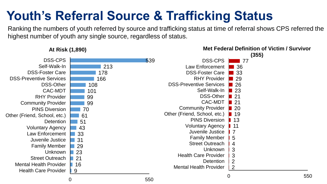#### **Youth's Referral Source & Trafficking Status**

Ranking the numbers of youth referred by source and trafficking status at time of referral shows CPS referred the highest number of youth any single source, regardless of status.

**Met Federal Definition of Victim / Survivor** 



0 550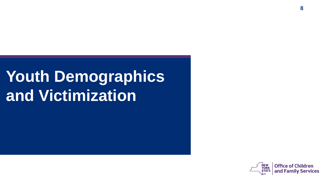# **Youth Demographics and Victimization**

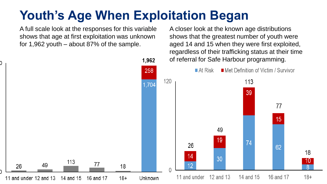#### **Youth's Age When Exploitation Began**

A full scale look at the responses for this variable shows that age at first exploitation was unknown for 1,962 youth – about 87% of the sample.

1.962 258 120 1,704 113 77 49 26 18 11 and under 12 and 13 16 and 17  $18+$ 14 and 15 Unknown

A closer look at the known age distributions shows that the greatest number of youth were aged 14 and 15 when they were first exploited, regardless of their trafficking status at their time of referral for Safe Harbour programming.

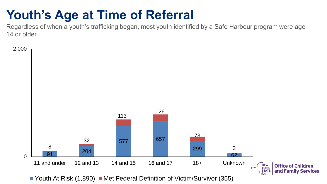#### **Youth's Age at Time of Referral**

Regardless of when a youth's trafficking began, most youth identified by a Safe Harbour program were age 14 or older.

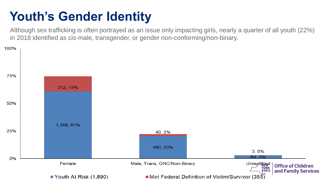#### **Youth's Gender Identity**

Although sex trafficking is often portrayed as an issue only impacting girls, nearly a quarter of all youth (22%) in 2018 identified as cis-male, transgender, or gender non-conforming/non-binary.

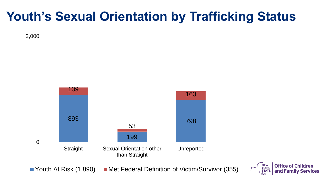#### **Youth's Sexual Orientation by Trafficking Status**

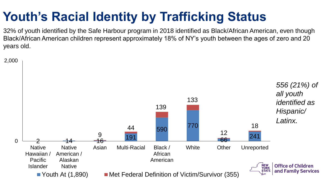### **Youth's Racial Identity by Trafficking Status**

32% of youth identified by the Safe Harbour program in 2018 identified as Black/African American, even though Black/African American children represent approximately 18% of NY's youth between the ages of zero and 20 years old.

2,000

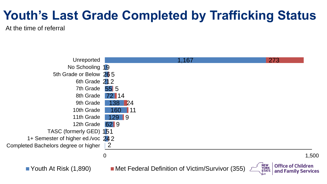### **Youth's Last Grade Completed by Trafficking Status**

At the time of referral

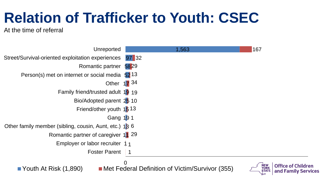## **Relation of Trafficker to Youth: CSEC**

At the time of referral

| Unreported                                                         | 1,563                                                | 167                                                                                     |
|--------------------------------------------------------------------|------------------------------------------------------|-----------------------------------------------------------------------------------------|
| Street/Survival-oriented exploitation experiences                  | 97 32                                                |                                                                                         |
| Romantic partner 5829                                              |                                                      |                                                                                         |
| Person(s) met on internet or social media 52 13                    |                                                      |                                                                                         |
|                                                                    | Other 17 34                                          |                                                                                         |
| Family friend/trusted adult 19 19                                  |                                                      |                                                                                         |
| Bio/Adopted parent 25 10                                           |                                                      |                                                                                         |
| Friend/other youth 1513                                            |                                                      |                                                                                         |
| Gang 191                                                           |                                                      |                                                                                         |
| Other family member (sibling, cousin, Aunt, etc.) 1 <sup>3</sup> 6 |                                                      |                                                                                         |
| Romantic partner of caregiver 11 29                                |                                                      |                                                                                         |
| Employer or labor recruiter $1_1$                                  |                                                      |                                                                                         |
| <b>Foster Parent</b>                                               |                                                      |                                                                                         |
| Youth At Risk (1,890)                                              | 0<br>Met Federal Definition of Victim/Survivor (355) | <b>Office of Children</b><br><b>NEW<br/>YORK</b><br>and Family Services<br><b>STATE</b> |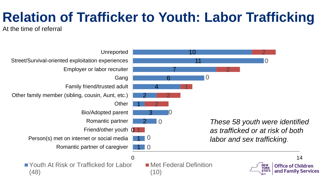## **Relation of Trafficker to Youth: Labor Trafficking**

At the time of referral

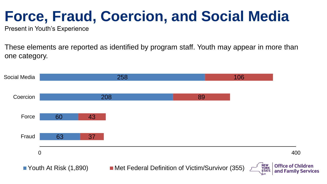## **Force, Fraud, Coercion, and Social Media**

Present in Youth's Experience

These elements are reported as identified by program staff. Youth may appear in more than one category.

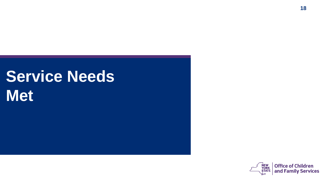# **Service Needs Met**

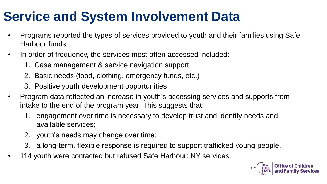### **Service and System Involvement Data**

- Programs reported the types of services provided to youth and their families using Safe Harbour funds.
- In order of frequency, the services most often accessed included:
	- 1. Case management & service navigation support
	- 2. Basic needs (food, clothing, emergency funds, etc.)
	- 3. Positive youth development opportunities
- Program data reflected an increase in youth's accessing services and supports from intake to the end of the program year. This suggests that:
	- 1. engagement over time is necessary to develop trust and identify needs and available services;
	- 2. youth's needs may change over time;
	- 3. a long-term, flexible response is required to support trafficked young people.
- 114 youth were contacted but refused Safe Harbour: NY services.

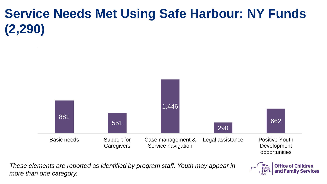## **Service Needs Met Using Safe Harbour: NY Funds (2,290)**



*These elements are reported as identified by program staff. Youth may appear in more than one category.*

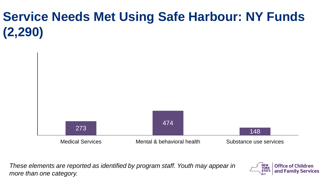## **Service Needs Met Using Safe Harbour: NY Funds (2,290)**



*These elements are reported as identified by program staff. Youth may appear in more than one category.*

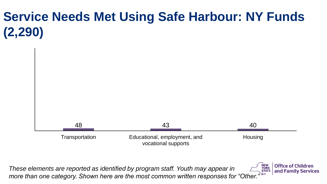## **Service Needs Met Using Safe Harbour: NY Funds (2,290)**



*These elements are reported as identified by program staff. Youth may appear in more than one category. Shown here are the most common written responses for "Other."*

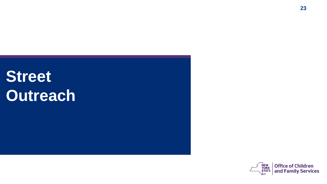# **Street Outreach**

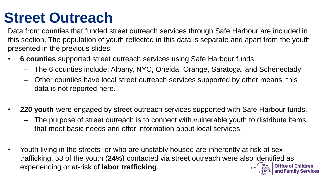## **Street Outreach**

Data from counties that funded street outreach services through Safe Harbour are included in this section. The population of youth reflected in this data is separate and apart from the youth presented in the previous slides.

- **6 counties** supported street outreach services using Safe Harbour funds.
	- The 6 counties include: Albany, NYC, Oneida, Orange, Saratoga, and Schenectady
	- Other counties have local street outreach services supported by other means; this data is not reported here.
- **220 youth** were engaged by street outreach services supported with Safe Harbour funds.
	- The purpose of street outreach is to connect with vulnerable youth to distribute items that meet basic needs and offer information about local services.
- Youth living in the streets or who are unstably housed are inherently at risk of sex trafficking. 53 of the youth (**24%**) contacted via street outreach were also identified as experiencing or at-risk of **labor trafficking**.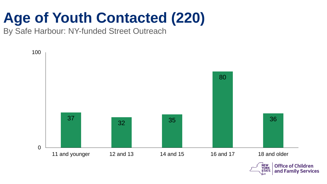## **Age of Youth Contacted (220)**

By Safe Harbour: NY-funded Street Outreach

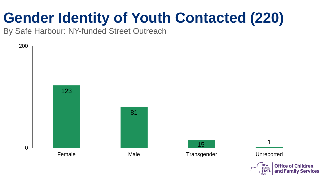## **Gender Identity of Youth Contacted (220)**

By Safe Harbour: NY-funded Street Outreach

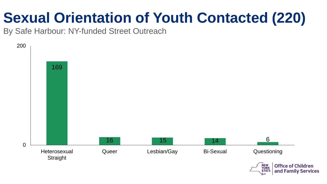## **Sexual Orientation of Youth Contacted (220)**

By Safe Harbour: NY-funded Street Outreach

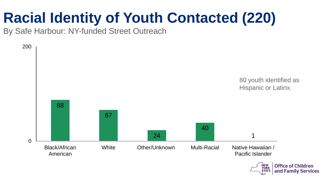## **Racial Identity of Youth Contacted (220)**

By Safe Harbour: NY-funded Street Outreach



Office of Children and Family Services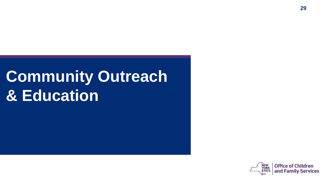# **Community Outreach & Education**

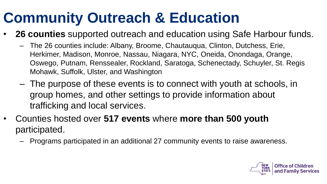## **Community Outreach & Education**

- **26 counties** supported outreach and education using Safe Harbour funds.
	- The 26 counties include: Albany, Broome, Chautauqua, Clinton, Dutchess, Erie, Herkimer, Madison, Monroe, Nassau, Niagara, NYC, Oneida, Onondaga, Orange, Oswego, Putnam, Renssealer, Rockland, Saratoga, Schenectady, Schuyler, St. Regis Mohawk, Suffolk, Ulster, and Washington
	- The purpose of these events is to connect with youth at schools, in group homes, and other settings to provide information about trafficking and local services.
- Counties hosted over **517 events** where **more than 500 youth** participated.
	- Programs participated in an additional 27 community events to raise awareness.

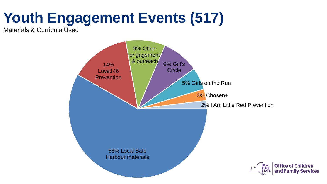## **Youth Engagement Events (517)**

Materials & Curricula Used